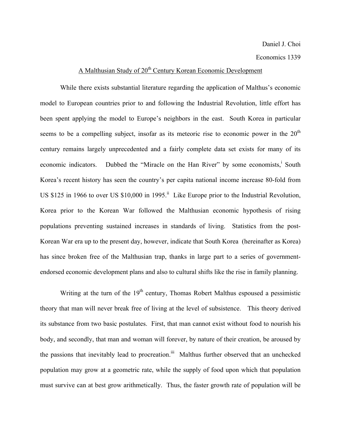## Economics 1339

## A Malthusian Study of 20<sup>th</sup> Century Korean Economic Development

While there exists substantial literature regarding the application of Malthus's economic model to European countries prior to and following the Industrial Revolution, little effort has been spent applying the model to Europe's neighbors in the east. South Korea in particular seems to be a compelling subject, insofar as its meteoric rise to economic power in the  $20<sup>th</sup>$ century remains largely unprecedented and a fairly complete data set exists for many of its economic indicators. Dubbed the "Miracle on the Han River" by some economists, South Korea's recent history has seen the country's per capita national income increase 80-fold from US \$125 in 1966 to over US  $$10,000$  in 1995.<sup>ii</sup> Like Europe prior to the Industrial Revolution, Korea prior to the Korean War followed the Malthusian economic hypothesis of rising populations preventing sustained increases in standards of living. Statistics from the post-Korean War era up to the present day, however, indicate that South Korea (hereinafter as Korea) has since broken free of the Malthusian trap, thanks in large part to a series of governmentendorsed economic development plans and also to cultural shifts like the rise in family planning.

Writing at the turn of the  $19<sup>th</sup>$  century, Thomas Robert Malthus espoused a pessimistic theory that man will never break free of living at the level of subsistence. This theory derived its substance from two basic postulates. First, that man cannot exist without food to nourish his body, and secondly, that man and woman will forever, by nature of their creation, be aroused by the passions that inevitably lead to procreation.<sup>iii</sup> Malthus further observed that an unchecked population may grow at a geometric rate, while the supply of food upon which that population must survive can at best grow arithmetically. Thus, the faster growth rate of population will be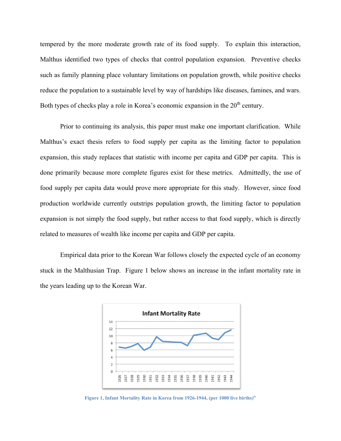tempered by the more moderate growth rate of its food supply. To explain this interaction, Malthus identified two types of checks that control population expansion. Preventive checks such as family planning place voluntary limitations on population growth, while positive checks reduce the population to a sustainable level by way of hardships like diseases, famines, and wars. Both types of checks play a role in Korea's economic expansion in the  $20<sup>th</sup>$  century.

Prior to continuing its analysis, this paper must make one important clarification. While Malthus's exact thesis refers to food supply per capita as the limiting factor to population expansion, this study replaces that statistic with income per capita and GDP per capita. This is done primarily because more complete figures exist for these metrics. Admittedly, the use of food supply per capita data would prove more appropriate for this study. However, since food production worldwide currently outstrips population growth, the limiting factor to population expansion is not simply the food supply, but rather access to that food supply, which is directly related to measures of wealth like income per capita and GDP per capita.

Empirical data prior to the Korean War follows closely the expected cycle of an economy stuck in the Malthusian Trap. Figure 1 below shows an increase in the infant mortality rate in the years leading up to the Korean War.



**Figure 1, Infant Mortality Rate in Korea from 1926-1944, (per 1000 live births)iv**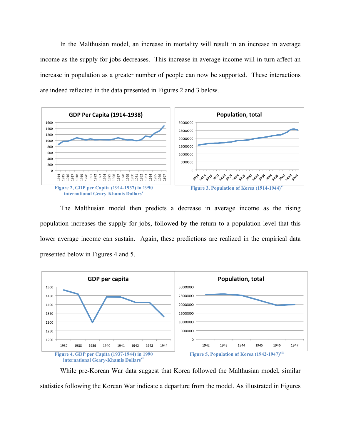In the Malthusian model, an increase in mortality will result in an increase in average income as the supply for jobs decreases. This increase in average income will in turn affect an increase in population as a greater number of people can now be supported. These interactions are indeed reflected in the data presented in Figures 2 and 3 below.



The Malthusian model then predicts a decrease in average income as the rising population increases the supply for jobs, followed by the return to a population level that this lower average income can sustain. Again, these predictions are realized in the empirical data presented below in Figures 4 and 5.



While pre-Korean War data suggest that Korea followed the Malthusian model, similar statistics following the Korean War indicate a departure from the model. As illustrated in Figures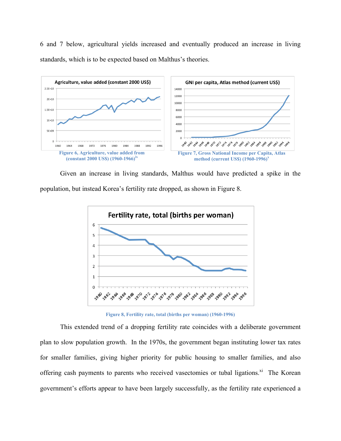6 and 7 below, agricultural yields increased and eventually produced an increase in living standards, which is to be expected based on Malthus's theories.



Given an increase in living standards, Malthus would have predicted a spike in the population, but instead Korea's fertility rate dropped, as shown in Figure 8.



**Figure 8, Fertility rate, total (births per woman) (1960-1996)**

This extended trend of a dropping fertility rate coincides with a deliberate government plan to slow population growth. In the 1970s, the government began instituting lower tax rates for smaller families, giving higher priority for public housing to smaller families, and also offering cash payments to parents who received vasectomies or tubal ligations.<sup>xi</sup> The Korean government's efforts appear to have been largely successfully, as the fertility rate experienced a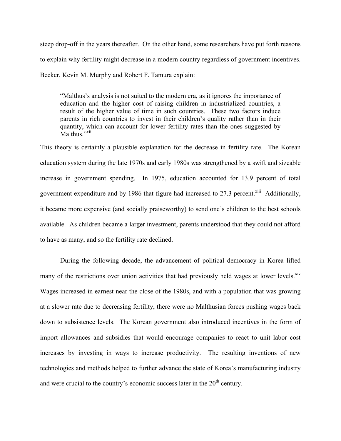steep drop-off in the years thereafter. On the other hand, some researchers have put forth reasons to explain why fertility might decrease in a modern country regardless of government incentives. Becker, Kevin M. Murphy and Robert F. Tamura explain:

"Malthus's analysis is not suited to the modern era, as it ignores the importance of education and the higher cost of raising children in industrialized countries, a result of the higher value of time in such countries. These two factors induce parents in rich countries to invest in their children's quality rather than in their quantity, which can account for lower fertility rates than the ones suggested by Malthus."<sup>xii</sup>

This theory is certainly a plausible explanation for the decrease in fertility rate. The Korean education system during the late 1970s and early 1980s was strengthened by a swift and sizeable increase in government spending. In 1975, education accounted for 13.9 percent of total government expenditure and by 1986 that figure had increased to 27.3 percent.<sup>xiii</sup> Additionally, it became more expensive (and socially praiseworthy) to send one's children to the best schools available. As children became a larger investment, parents understood that they could not afford to have as many, and so the fertility rate declined.

During the following decade, the advancement of political democracy in Korea lifted many of the restrictions over union activities that had previously held wages at lower levels.<sup>xiv</sup> Wages increased in earnest near the close of the 1980s, and with a population that was growing at a slower rate due to decreasing fertility, there were no Malthusian forces pushing wages back down to subsistence levels. The Korean government also introduced incentives in the form of import allowances and subsidies that would encourage companies to react to unit labor cost increases by investing in ways to increase productivity. The resulting inventions of new technologies and methods helped to further advance the state of Korea's manufacturing industry and were crucial to the country's economic success later in the  $20<sup>th</sup>$  century.